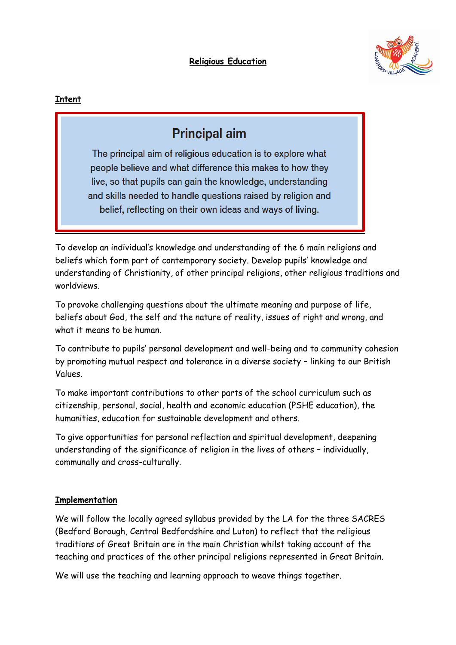

## **Intent**

# **Principal aim**

The principal aim of religious education is to explore what people believe and what difference this makes to how they live, so that pupils can gain the knowledge, understanding and skills needed to handle questions raised by religion and belief, reflecting on their own ideas and ways of living.

To develop an individual's knowledge and understanding of the 6 main religions and beliefs which form part of contemporary society. Develop pupils' knowledge and understanding of Christianity, of other principal religions, other religious traditions and worldviews.

To provoke challenging questions about the ultimate meaning and purpose of life, beliefs about God, the self and the nature of reality, issues of right and wrong, and what it means to be human.

To contribute to pupils' personal development and well-being and to community cohesion by promoting mutual respect and tolerance in a diverse society – linking to our British Values.

To make important contributions to other parts of the school curriculum such as citizenship, personal, social, health and economic education (PSHE education), the humanities, education for sustainable development and others.

To give opportunities for personal reflection and spiritual development, deepening understanding of the significance of religion in the lives of others – individually, communally and cross-culturally.

## **Implementation**

We will follow the locally agreed syllabus provided by the LA for the three SACRES (Bedford Borough, Central Bedfordshire and Luton) to reflect that the religious traditions of Great Britain are in the main Christian whilst taking account of the teaching and practices of the other principal religions represented in Great Britain.

We will use the teaching and learning approach to weave things together.